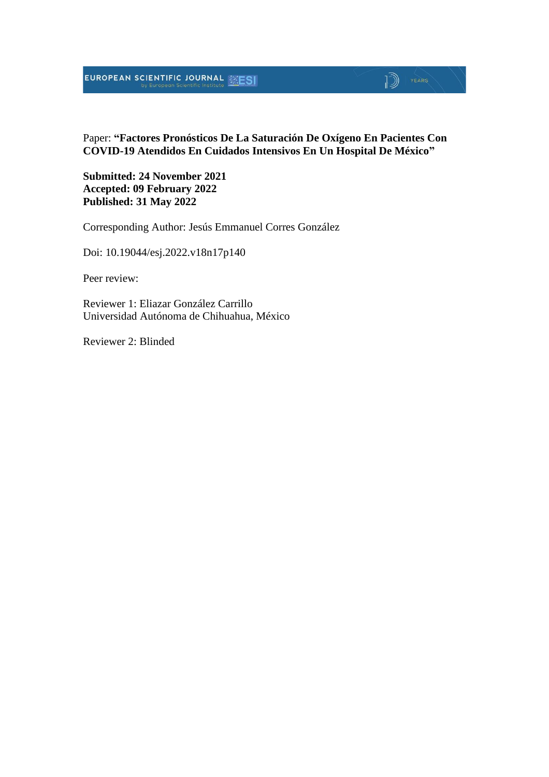## **EUROPEAN SCIENTIFIC JOURNAL EXESI**

## $\mathbb{D}$   $\mathbb{P}$   $\mathbb{P}$   $\mathbb{P}$   $\mathbb{P}$   $\mathbb{P}$   $\mathbb{P}$   $\mathbb{P}$   $\mathbb{P}$   $\mathbb{P}$   $\mathbb{P}$   $\mathbb{P}$   $\mathbb{P}$   $\mathbb{P}$   $\mathbb{P}$   $\mathbb{P}$   $\mathbb{P}$   $\mathbb{P}$   $\mathbb{P}$   $\mathbb{P}$   $\mathbb{P}$   $\mathbb{P}$   $\mathbb{P}$   $\mathbb{P}$   $\mathbb{$

Paper: **"Factores Pronósticos De La Saturación De Oxígeno En Pacientes Con COVID-19 Atendidos En Cuidados Intensivos En Un Hospital De México"**

**Submitted: 24 November 2021 Accepted: 09 February 2022 Published: 31 May 2022**

Corresponding Author: Jesús Emmanuel Corres González

Doi: 10.19044/esj.2022.v18n17p140

Peer review:

Reviewer 1: Eliazar González Carrillo Universidad Autónoma de Chihuahua, México

Reviewer 2: Blinded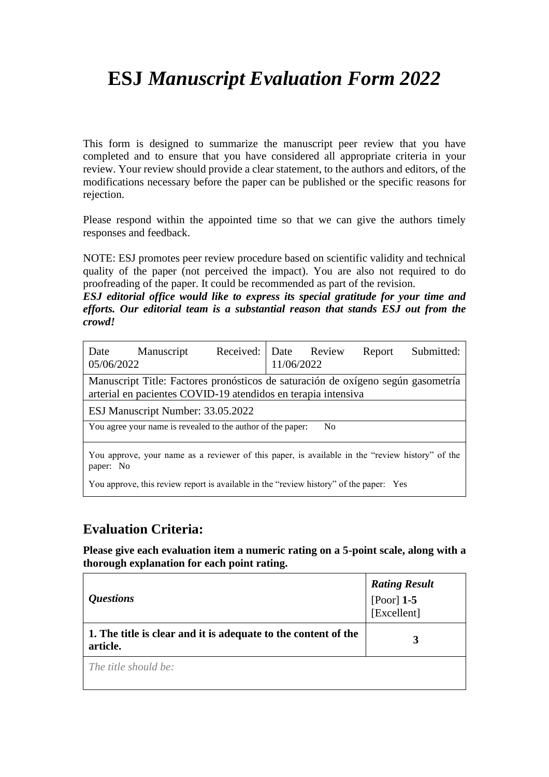# **ESJ** *Manuscript Evaluation Form 2022*

This form is designed to summarize the manuscript peer review that you have completed and to ensure that you have considered all appropriate criteria in your review. Your review should provide a clear statement, to the authors and editors, of the modifications necessary before the paper can be published or the specific reasons for rejection.

Please respond within the appointed time so that we can give the authors timely responses and feedback.

NOTE: ESJ promotes peer review procedure based on scientific validity and technical quality of the paper (not perceived the impact). You are also not required to do proofreading of the paper. It could be recommended as part of the revision.

*ESJ editorial office would like to express its special gratitude for your time and efforts. Our editorial team is a substantial reason that stands ESJ out from the crowd!*

| Date<br>05/06/2022                                                                                                                                | Manuscript                                                                                      | Received: Date Review | 11/06/2022 |                | Report | Submitted: |
|---------------------------------------------------------------------------------------------------------------------------------------------------|-------------------------------------------------------------------------------------------------|-----------------------|------------|----------------|--------|------------|
| Manuscript Title: Factores pronósticos de saturación de oxígeno según gasometría<br>arterial en pacientes COVID-19 atendidos en terapia intensiva |                                                                                                 |                       |            |                |        |            |
|                                                                                                                                                   | ESJ Manuscript Number: 33.05.2022                                                               |                       |            |                |        |            |
|                                                                                                                                                   | You agree your name is revealed to the author of the paper:                                     |                       |            | N <sub>0</sub> |        |            |
| paper: No                                                                                                                                         | You approve, your name as a reviewer of this paper, is available in the "review history" of the |                       |            |                |        |            |

You approve, this review report is available in the "review history" of the paper: Yes

### **Evaluation Criteria:**

**Please give each evaluation item a numeric rating on a 5-point scale, along with a thorough explanation for each point rating.**

| <i><b>Questions</b></i>                                                    | <b>Rating Result</b><br>[Poor] $1-5$<br>[Excellent] |
|----------------------------------------------------------------------------|-----------------------------------------------------|
| 1. The title is clear and it is adequate to the content of the<br>article. |                                                     |
| The title should be:                                                       |                                                     |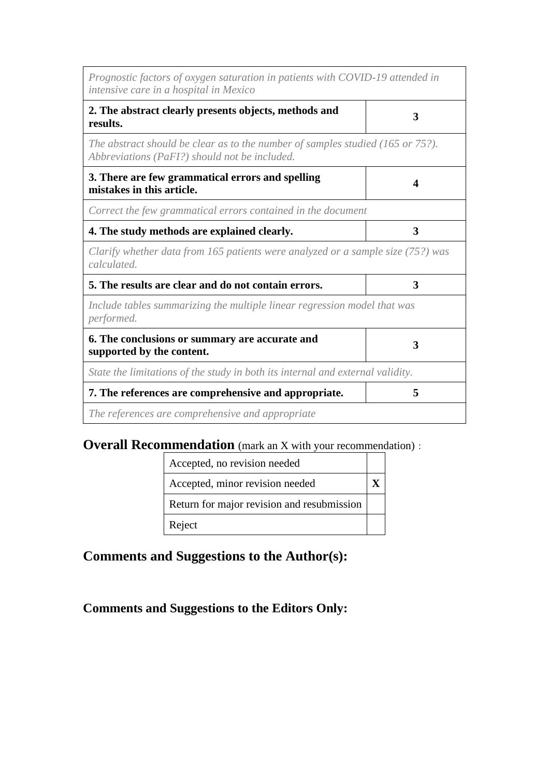| Prognostic factors of oxygen saturation in patients with COVID-19 attended in<br>intensive care in a hospital in Mexico                     |   |
|---------------------------------------------------------------------------------------------------------------------------------------------|---|
| 2. The abstract clearly presents objects, methods and<br>results.                                                                           | 3 |
| The abstract should be clear as to the number of samples studied $(165 \text{ or } 75$ ?).<br>Abbreviations (PaFI?) should not be included. |   |
| 3. There are few grammatical errors and spelling<br>mistakes in this article.                                                               | Δ |
| Correct the few grammatical errors contained in the document                                                                                |   |
| 4. The study methods are explained clearly.                                                                                                 | 3 |
| Clarify whether data from 165 patients were analyzed or a sample size (75?) was<br>calculated.                                              |   |
| 5. The results are clear and do not contain errors.                                                                                         | 3 |
| Include tables summarizing the multiple linear regression model that was<br>performed.                                                      |   |
| 6. The conclusions or summary are accurate and<br>supported by the content.                                                                 | 3 |
| State the limitations of the study in both its internal and external validity.                                                              |   |
| 7. The references are comprehensive and appropriate.                                                                                        | 5 |
| The references are comprehensive and appropriate                                                                                            |   |

## **Overall Recommendation** (mark an X with your recommendation):

| Accepted, no revision needed               |  |
|--------------------------------------------|--|
| Accepted, minor revision needed            |  |
| Return for major revision and resubmission |  |
| Reject                                     |  |

## **Comments and Suggestions to the Author(s):**

### **Comments and Suggestions to the Editors Only:**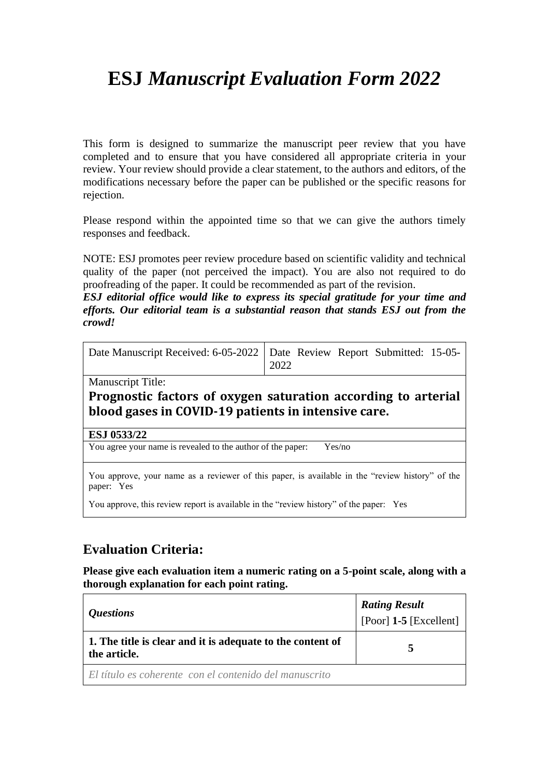# **ESJ** *Manuscript Evaluation Form 2022*

This form is designed to summarize the manuscript peer review that you have completed and to ensure that you have considered all appropriate criteria in your review. Your review should provide a clear statement, to the authors and editors, of the modifications necessary before the paper can be published or the specific reasons for rejection.

Please respond within the appointed time so that we can give the authors timely responses and feedback.

NOTE: ESJ promotes peer review procedure based on scientific validity and technical quality of the paper (not perceived the impact). You are also not required to do proofreading of the paper. It could be recommended as part of the revision.

*ESJ editorial office would like to express its special gratitude for your time and efforts. Our editorial team is a substantial reason that stands ESJ out from the crowd!*

| Date Manuscript Received: 6-05-2022   Date Review Report Submitted: 15-05- | 2022 |  |  |  |  |
|----------------------------------------------------------------------------|------|--|--|--|--|
|----------------------------------------------------------------------------|------|--|--|--|--|

Manuscript Title:

#### **Prognostic factors of oxygen saturation according to arterial blood gases in COVID-19 patients in intensive care.**

#### **ESJ 0533/22**

You agree your name is revealed to the author of the paper: Yes/no

You approve, your name as a reviewer of this paper, is available in the "review history" of the paper: Yes

You approve, this review report is available in the "review history" of the paper: Yes

### **Evaluation Criteria:**

**Please give each evaluation item a numeric rating on a 5-point scale, along with a thorough explanation for each point rating.**

|                                                                            | <b>Rating Result</b>       |  |  |
|----------------------------------------------------------------------------|----------------------------|--|--|
| <i>Questions</i>                                                           | $[Poor]$ 1-5 $[Excellent]$ |  |  |
| 1. The title is clear and it is adequate to the content of<br>the article. |                            |  |  |
| El título es coherente con el contenido del manuscrito                     |                            |  |  |